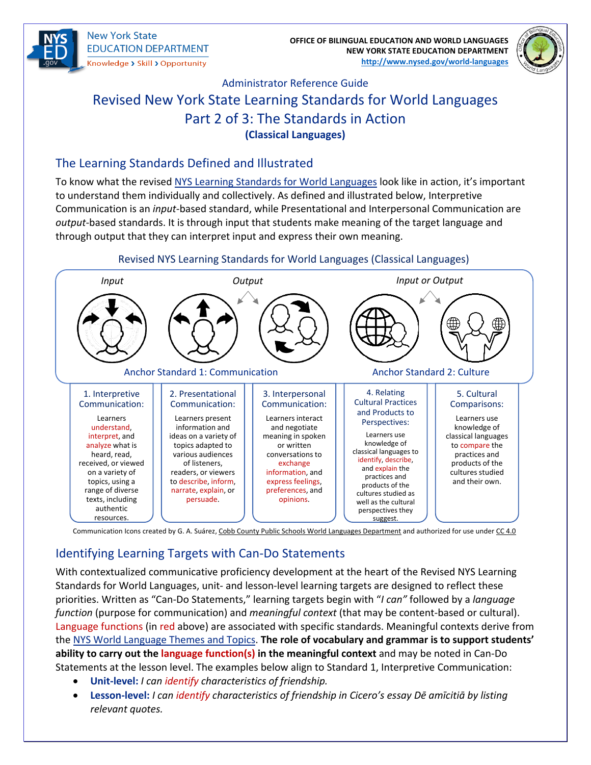

**New York State EDUCATION DEPARTMENT** Knowledge > Skill > Opportunity

**OFFICE OF BILINGUAL EDUCATION AND WORLD LANGUAGES NEW YORK STATE EDUCATION DEPARTMENT [http://www.nysed.gov/world-languages](http://www.nysed.gov/world-languages/)**



# Administrator Reference Guide Revised New York State Learning Standards for World Languages Part 2 of 3: The Standards in Action **(Classical Languages)**

#### The Learning Standards Defined and Illustrated

To know what the revised [NYS Learning Standards for World Languages](http://www.nysed.gov/common/nysed/files/programs/world-languages/nys-learning-standards-for-world-languages-2021.pdf) look like in action, it's important to understand them individually and collectively. As defined and illustrated below, Interpretive Communication is an *input*-based standard, while Presentational and Interpersonal Communication are *output*-based standards. It is through input that students make meaning of the target language and through output that they can interpret input and express their own meaning.



#### Communication Icons created by G. A. Suárez, [Cobb County Public Schools World Languages Department](https://site.ccsdlanguages.org/about-us) and authorized for use unde[r CC 4.0](https://creativecommons.org/licenses/by-nc-sa/4.0/)

### Identifying Learning Targets with Can-Do Statements

With contextualized communicative proficiency development at the heart of the Revised NYS Learning Standards for World Languages, unit- and lesson-level learning targets are designed to reflect these priorities. Written as "Can-Do Statements," learning targets begin with "*I can"* followed by a *language function* (purpose for communication) and *meaningful context* (that may be content-based or cultural). Language functions (in red above) are associated with specific standards. Meaningful contexts derive from the [NYS World Language Themes and Topics.](http://www.nysed.gov/common/nysed/files/programs/world-languages/nys-wl-themes-and-topics-2021.pdf) **The role of vocabulary and grammar is to support students' ability to carry out the language function(s) in the meaningful context** and may be noted in Can-Do Statements at the lesson level. The examples below align to Standard 1, Interpretive Communication:

- **Unit-level:** *I can identify characteristics of friendship.*
- **Lesson-level:** *I can identify characteristics of friendship in Cicero's essay Dē amīcitiā by listing relevant quotes.*